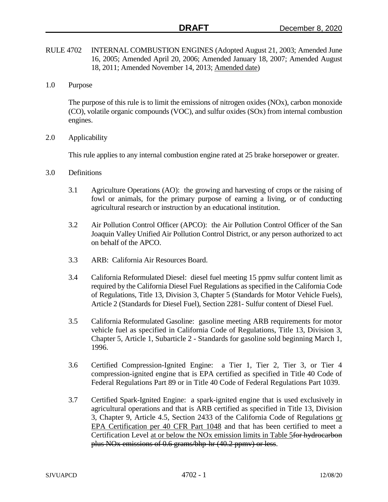- RULE 4702 INTERNAL COMBUSTION ENGINES (Adopted August 21, 2003; Amended June 16, 2005; Amended April 20, 2006; Amended January 18, 2007; Amended August 18, 2011; Amended November 14, 2013; Amended date)
- 1.0 Purpose

The purpose of this rule is to limit the emissions of nitrogen oxides (NOx), carbon monoxide (CO), volatile organic compounds (VOC), and sulfur oxides (SOx) from internal combustion engines.

2.0 Applicability

This rule applies to any internal combustion engine rated at 25 brake horsepower or greater.

- 3.0 Definitions
	- 3.1 Agriculture Operations (AO): the growing and harvesting of crops or the raising of fowl or animals, for the primary purpose of earning a living, or of conducting agricultural research or instruction by an educational institution.
	- 3.2 Air Pollution Control Officer (APCO): the Air Pollution Control Officer of the San Joaquin Valley Unified Air Pollution Control District, or any person authorized to act on behalf of the APCO.
	- 3.3 ARB: California Air Resources Board.
	- 3.4 California Reformulated Diesel: diesel fuel meeting 15 ppmv sulfur content limit as required by the California Diesel Fuel Regulations as specified in the California Code of Regulations, Title 13, Division 3, Chapter 5 (Standards for Motor Vehicle Fuels), Article 2 (Standards for Diesel Fuel), Section 2281- Sulfur content of Diesel Fuel.
	- 3.5 California Reformulated Gasoline: gasoline meeting ARB requirements for motor vehicle fuel as specified in California Code of Regulations, Title 13, Division 3, Chapter 5, Article 1, Subarticle 2 - Standards for gasoline sold beginning March 1, 1996.
	- 3.6 Certified Compression-Ignited Engine: a Tier 1, Tier 2, Tier 3, or Tier 4 compression-ignited engine that is EPA certified as specified in Title 40 Code of Federal Regulations Part 89 or in Title 40 Code of Federal Regulations Part 1039.
	- 3.7 Certified Spark-Ignited Engine: a spark-ignited engine that is used exclusively in agricultural operations and that is ARB certified as specified in Title 13, Division 3, Chapter 9, Article 4.5, Section 2433 of the California Code of Regulations or EPA Certification per 40 CFR Part 1048 and that has been certified to meet a Certification Level at or below the NOx emission limits in Table 5for hydrocarbon plus NOx emissions of 0.6 grams/bhp-hr (40.2 ppmv) or less.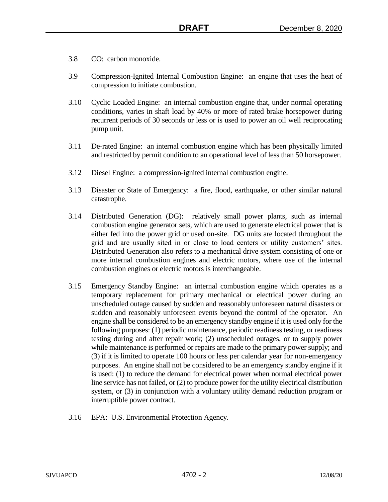- 3.8 CO: carbon monoxide.
- 3.9 Compression-Ignited Internal Combustion Engine: an engine that uses the heat of compression to initiate combustion.
- 3.10 Cyclic Loaded Engine: an internal combustion engine that, under normal operating conditions, varies in shaft load by 40% or more of rated brake horsepower during recurrent periods of 30 seconds or less or is used to power an oil well reciprocating pump unit.
- 3.11 De-rated Engine: an internal combustion engine which has been physically limited and restricted by permit condition to an operational level of less than 50 horsepower.
- 3.12 Diesel Engine: a compression-ignited internal combustion engine.
- 3.13 Disaster or State of Emergency: a fire, flood, earthquake, or other similar natural catastrophe.
- 3.14 Distributed Generation (DG): relatively small power plants, such as internal combustion engine generator sets, which are used to generate electrical power that is either fed into the power grid or used on-site. DG units are located throughout the grid and are usually sited in or close to load centers or utility customers' sites. Distributed Generation also refers to a mechanical drive system consisting of one or more internal combustion engines and electric motors, where use of the internal combustion engines or electric motors is interchangeable.
- 3.15 Emergency Standby Engine: an internal combustion engine which operates as a temporary replacement for primary mechanical or electrical power during an unscheduled outage caused by sudden and reasonably unforeseen natural disasters or sudden and reasonably unforeseen events beyond the control of the operator. An engine shall be considered to be an emergency standby engine if it is used only for the following purposes: (1) periodic maintenance, periodic readiness testing, or readiness testing during and after repair work; (2) unscheduled outages, or to supply power while maintenance is performed or repairs are made to the primary power supply; and (3) if it is limited to operate 100 hours or less per calendar year for non-emergency purposes. An engine shall not be considered to be an emergency standby engine if it is used: (1) to reduce the demand for electrical power when normal electrical power line service has not failed, or (2) to produce power for the utility electrical distribution system, or (3) in conjunction with a voluntary utility demand reduction program or interruptible power contract.
- 3.16 EPA: U.S. Environmental Protection Agency.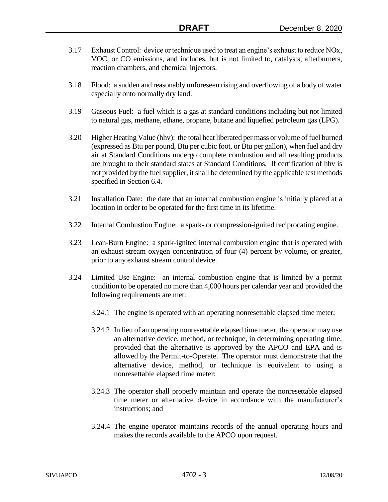- 3.17 Exhaust Control: device or technique used to treat an engine's exhaust to reduce NOx, VOC, or CO emissions, and includes, but is not limited to, catalysts, afterburners, reaction chambers, and chemical injectors.
- 3.18 Flood: a sudden and reasonably unforeseen rising and overflowing of a body of water especially onto normally dry land.
- 3.19 Gaseous Fuel: a fuel which is a gas at standard conditions including but not limited to natural gas, methane, ethane, propane, butane and liquefied petroleum gas (LPG).
- 3.20 Higher Heating Value (hhv): the total heat liberated per mass or volume of fuel burned (expressed as Btu per pound, Btu per cubic foot, or Btu per gallon), when fuel and dry air at Standard Conditions undergo complete combustion and all resulting products are brought to their standard states at Standard Conditions. If certification of hhv is not provided by the fuel supplier, it shall be determined by the applicable test methods specified in Section 6.4.
- 3.21 Installation Date: the date that an internal combustion engine is initially placed at a location in order to be operated for the first time in its lifetime.
- 3.22 Internal Combustion Engine: a spark- or compression-ignited reciprocating engine.
- 3.23 Lean-Burn Engine: a spark-ignited internal combustion engine that is operated with an exhaust stream oxygen concentration of four (4) percent by volume, or greater, prior to any exhaust stream control device.
- 3.24 Limited Use Engine: an internal combustion engine that is limited by a permit condition to be operated no more than 4,000 hours per calendar year and provided the following requirements are met:
	- 3.24.1 The engine is operated with an operating nonresettable elapsed time meter;
	- 3.24.2 In lieu of an operating nonresettable elapsed time meter, the operator may use an alternative device, method, or technique, in determining operating time, provided that the alternative is approved by the APCO and EPA and is allowed by the Permit-to-Operate. The operator must demonstrate that the alternative device, method, or technique is equivalent to using a nonresettable elapsed time meter;
	- 3.24.3 The operator shall properly maintain and operate the nonresettable elapsed time meter or alternative device in accordance with the manufacturer's instructions; and
	- 3.24.4 The engine operator maintains records of the annual operating hours and makes the records available to the APCO upon request.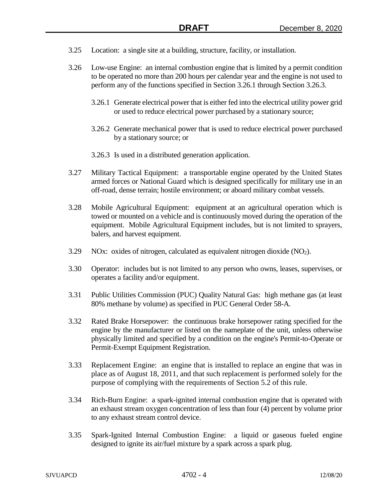- 3.25 Location: a single site at a building, structure, facility, or installation.
- 3.26 Low-use Engine: an internal combustion engine that is limited by a permit condition to be operated no more than 200 hours per calendar year and the engine is not used to perform any of the functions specified in Section 3.26.1 through Section 3.26.3.
	- 3.26.1 Generate electrical power that is either fed into the electrical utility power grid or used to reduce electrical power purchased by a stationary source;
	- 3.26.2 Generate mechanical power that is used to reduce electrical power purchased by a stationary source; or
	- 3.26.3 Is used in a distributed generation application.
- 3.27 Military Tactical Equipment: a transportable engine operated by the United States armed forces or National Guard which is designed specifically for military use in an off-road, dense terrain; hostile environment; or aboard military combat vessels.
- 3.28 Mobile Agricultural Equipment: equipment at an agricultural operation which is towed or mounted on a vehicle and is continuously moved during the operation of the equipment. Mobile Agricultural Equipment includes, but is not limited to sprayers, balers, and harvest equipment.
- $3.29$  NOx: oxides of nitrogen, calculated as equivalent nitrogen dioxide (NO<sub>2</sub>).
- 3.30 Operator: includes but is not limited to any person who owns, leases, supervises, or operates a facility and/or equipment.
- 3.31 Public Utilities Commission (PUC) Quality Natural Gas: high methane gas (at least 80% methane by volume) as specified in PUC General Order 58-A.
- 3.32 Rated Brake Horsepower: the continuous brake horsepower rating specified for the engine by the manufacturer or listed on the nameplate of the unit, unless otherwise physically limited and specified by a condition on the engine's Permit-to-Operate or Permit-Exempt Equipment Registration.
- 3.33 Replacement Engine: an engine that is installed to replace an engine that was in place as of August 18, 2011, and that such replacement is performed solely for the purpose of complying with the requirements of Section 5.2 of this rule.
- 3.34 Rich-Burn Engine: a spark-ignited internal combustion engine that is operated with an exhaust stream oxygen concentration of less than four (4) percent by volume prior to any exhaust stream control device.
- 3.35 Spark-Ignited Internal Combustion Engine: a liquid or gaseous fueled engine designed to ignite its air/fuel mixture by a spark across a spark plug.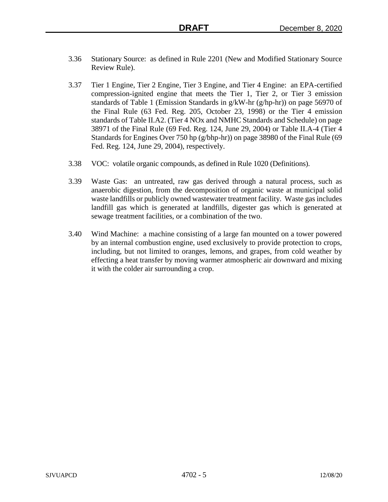- 3.36 Stationary Source: as defined in Rule 2201 (New and Modified Stationary Source Review Rule).
- 3.37 Tier 1 Engine, Tier 2 Engine, Tier 3 Engine, and Tier 4 Engine: an EPA-certified compression-ignited engine that meets the Tier 1, Tier 2, or Tier 3 emission standards of Table 1 (Emission Standards in  $g/kW$ -hr ( $g/hp-hr$ )) on page 56970 of the Final Rule (63 Fed. Reg. 205, October 23, 1998) or the Tier 4 emission standards of Table II.A2. (Tier 4 NOx and NMHC Standards and Schedule) on page 38971 of the Final Rule (69 Fed. Reg. 124, June 29, 2004) or Table II.A-4 (Tier 4 Standards for Engines Over 750 hp (g/bhp-hr)) on page 38980 of the Final Rule (69 Fed. Reg. 124, June 29, 2004), respectively.
- 3.38 VOC: volatile organic compounds, as defined in Rule 1020 (Definitions).
- 3.39 Waste Gas: an untreated, raw gas derived through a natural process, such as anaerobic digestion, from the decomposition of organic waste at municipal solid waste landfills or publicly owned wastewater treatment facility. Waste gas includes landfill gas which is generated at landfills, digester gas which is generated at sewage treatment facilities, or a combination of the two.
- 3.40 Wind Machine: a machine consisting of a large fan mounted on a tower powered by an internal combustion engine, used exclusively to provide protection to crops, including, but not limited to oranges, lemons, and grapes, from cold weather by effecting a heat transfer by moving warmer atmospheric air downward and mixing it with the colder air surrounding a crop.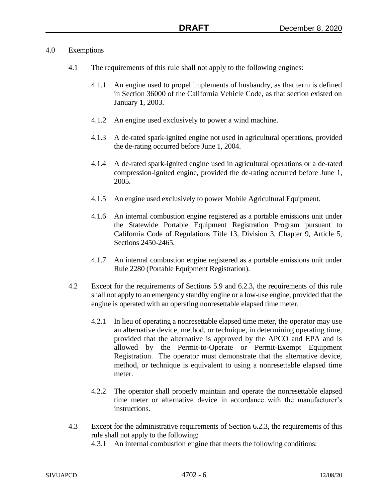#### 4.0 Exemptions

- 4.1 The requirements of this rule shall not apply to the following engines:
	- 4.1.1 An engine used to propel implements of husbandry, as that term is defined in Section 36000 of the California Vehicle Code, as that section existed on January 1, 2003.
	- 4.1.2 An engine used exclusively to power a wind machine.
	- 4.1.3 A de-rated spark-ignited engine not used in agricultural operations, provided the de-rating occurred before June 1, 2004.
	- 4.1.4 A de-rated spark-ignited engine used in agricultural operations or a de-rated compression-ignited engine, provided the de-rating occurred before June 1, 2005.
	- 4.1.5 An engine used exclusively to power Mobile Agricultural Equipment.
	- 4.1.6 An internal combustion engine registered as a portable emissions unit under the Statewide Portable Equipment Registration Program pursuant to California Code of Regulations Title 13, Division 3, Chapter 9, Article 5, Sections 2450-2465.
	- 4.1.7 An internal combustion engine registered as a portable emissions unit under Rule 2280 (Portable Equipment Registration).
- 4.2 Except for the requirements of Sections 5.9 and 6.2.3, the requirements of this rule shall not apply to an emergency standby engine or a low-use engine, provided that the engine is operated with an operating nonresettable elapsed time meter.
	- 4.2.1 In lieu of operating a nonresettable elapsed time meter, the operator may use an alternative device, method, or technique, in determining operating time, provided that the alternative is approved by the APCO and EPA and is allowed by the Permit-to-Operate or Permit-Exempt Equipment Registration. The operator must demonstrate that the alternative device, method, or technique is equivalent to using a nonresettable elapsed time meter.
	- 4.2.2 The operator shall properly maintain and operate the nonresettable elapsed time meter or alternative device in accordance with the manufacturer's instructions.
- 4.3 Except for the administrative requirements of Section 6.2.3, the requirements of this rule shall not apply to the following:
	- 4.3.1 An internal combustion engine that meets the following conditions: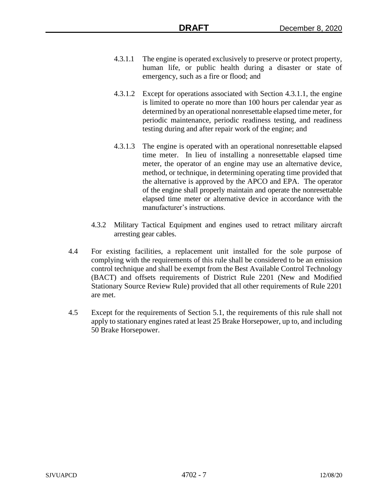- 4.3.1.1 The engine is operated exclusively to preserve or protect property, human life, or public health during a disaster or state of emergency, such as a fire or flood; and
- 4.3.1.2 Except for operations associated with Section 4.3.1.1, the engine is limited to operate no more than 100 hours per calendar year as determined by an operational nonresettable elapsed time meter, for periodic maintenance, periodic readiness testing, and readiness testing during and after repair work of the engine; and
- 4.3.1.3 The engine is operated with an operational nonresettable elapsed time meter. In lieu of installing a nonresettable elapsed time meter, the operator of an engine may use an alternative device, method, or technique, in determining operating time provided that the alternative is approved by the APCO and EPA. The operator of the engine shall properly maintain and operate the nonresettable elapsed time meter or alternative device in accordance with the manufacturer's instructions.
- 4.3.2 Military Tactical Equipment and engines used to retract military aircraft arresting gear cables.
- 4.4 For existing facilities, a replacement unit installed for the sole purpose of complying with the requirements of this rule shall be considered to be an emission control technique and shall be exempt from the Best Available Control Technology (BACT) and offsets requirements of District Rule 2201 (New and Modified Stationary Source Review Rule) provided that all other requirements of Rule 2201 are met.
- 4.5 Except for the requirements of Section 5.1, the requirements of this rule shall not apply to stationary engines rated at least 25 Brake Horsepower, up to, and including 50 Brake Horsepower.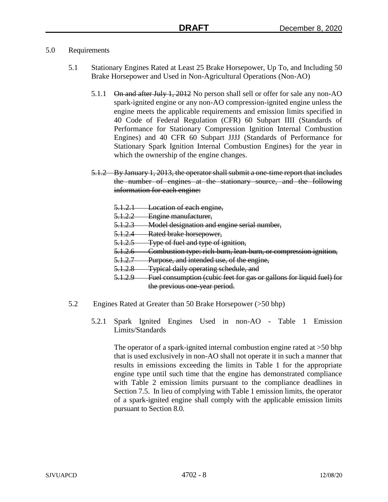### 5.0 Requirements

- 5.1 Stationary Engines Rated at Least 25 Brake Horsepower, Up To, and Including 50 Brake Horsepower and Used in Non-Agricultural Operations (Non-AO)
	- 5.1.1 On and after July 1, 2012 No person shall sell or offer for sale any non-AO spark-ignited engine or any non-AO compression-ignited engine unless the engine meets the applicable requirements and emission limits specified in 40 Code of Federal Regulation (CFR) 60 Subpart IIII (Standards of Performance for Stationary Compression Ignition Internal Combustion Engines) and 40 CFR 60 Subpart JJJJ (Standards of Performance for Stationary Spark Ignition Internal Combustion Engines) for the year in which the ownership of the engine changes.
	- 5.1.2 By January 1, 2013, the operator shall submit a one-time report that includes the number of engines at the stationary source, and the following information for each engine:
		- 5.1.2.1 Location of each engine,
		- 5.1.2.2 Engine manufacturer,
		- 5.1.2.3 Model designation and engine serial number,
		- 5.1.2.4 Rated brake horsepower,
		- 5.1.2.5 Type of fuel and type of ignition,
		- 5.1.2.6 Combustion type: rich-burn, lean-burn, or compression ignition,
		- 5.1.2.7 Purpose, and intended use, of the engine,
		- 5.1.2.8 Typical daily operating schedule, and
		- 5.1.2.9 Fuel consumption (cubic feet for gas or gallons for liquid fuel) for the previous one-year period.
- 5.2 Engines Rated at Greater than 50 Brake Horsepower (>50 bhp)
	- 5.2.1 Spark Ignited Engines Used in non-AO Table 1 Emission Limits/Standards

The operator of a spark-ignited internal combustion engine rated at >50 bhp that is used exclusively in non-AO shall not operate it in such a manner that results in emissions exceeding the limits in Table 1 for the appropriate engine type until such time that the engine has demonstrated compliance with Table 2 emission limits pursuant to the compliance deadlines in Section 7.5. In lieu of complying with Table 1 emission limits, the operator of a spark-ignited engine shall comply with the applicable emission limits pursuant to Section 8.0.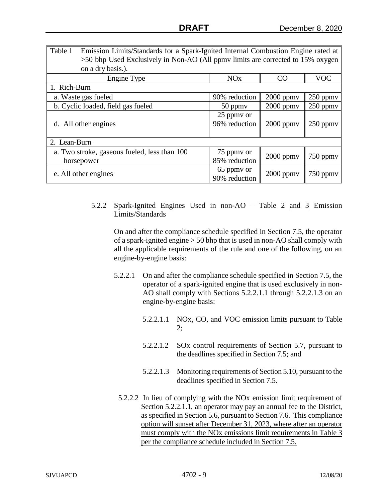| Table 1<br>Emission Limits/Standards for a Spark-Ignited Internal Combustion Engine rated at<br>>50 bhp Used Exclusively in Non-AO (All ppmv limits are corrected to 15% oxygen<br>on a dry basis.). |                             |                |               |  |  |
|------------------------------------------------------------------------------------------------------------------------------------------------------------------------------------------------------|-----------------------------|----------------|---------------|--|--|
| Engine Type                                                                                                                                                                                          | <b>NO<sub>x</sub></b>       | CO             | <b>VOC</b>    |  |  |
| 1. Rich-Burn                                                                                                                                                                                         |                             |                |               |  |  |
| a. Waste gas fueled                                                                                                                                                                                  | 90% reduction               | $2000$ ppmv    | 250 ppmv      |  |  |
| b. Cyclic loaded, field gas fueled                                                                                                                                                                   | $50$ ppm $v$                | $2000$ ppmv    | $250$ ppm $v$ |  |  |
| d. All other engines                                                                                                                                                                                 | 25 ppmy or<br>96% reduction | $2000$ ppm $v$ | $250$ ppm $v$ |  |  |
| 2. Lean-Burn                                                                                                                                                                                         |                             |                |               |  |  |
| a. Two stroke, gaseous fueled, less than 100<br>horsepower                                                                                                                                           | 75 ppmy or<br>85% reduction | $2000$ ppm $v$ | 750 ppmy      |  |  |
| e. All other engines                                                                                                                                                                                 | 65 ppmy or<br>90% reduction | $2000$ ppmv    | $750$ ppm $v$ |  |  |

5.2.2 Spark-Ignited Engines Used in non-AO – Table 2 and 3 Emission Limits/Standards

On and after the compliance schedule specified in Section 7.5, the operator of a spark-ignited engine > 50 bhp that is used in non-AO shall comply with all the applicable requirements of the rule and one of the following, on an engine-by-engine basis:

- 5.2.2.1 On and after the compliance schedule specified in Section 7.5, the operator of a spark-ignited engine that is used exclusively in non-AO shall comply with Sections 5.2.2.1.1 through 5.2.2.1.3 on an engine-by-engine basis:
	- 5.2.2.1.1 NOx, CO, and VOC emission limits pursuant to Table 2;
	- 5.2.2.1.2 SOx control requirements of Section 5.7, pursuant to the deadlines specified in Section 7.5; and
	- 5.2.2.1.3 Monitoring requirements of Section 5.10, pursuant to the deadlines specified in Section 7.5.
- 5.2.2.2 In lieu of complying with the NOx emission limit requirement of Section 5.2.2.1.1, an operator may pay an annual fee to the District, as specified in Section 5.6, pursuant to Section 7.6. This compliance option will sunset after December 31, 2023, where after an operator must comply with the NOx emissions limit requirements in Table 3 per the compliance schedule included in Section 7.5.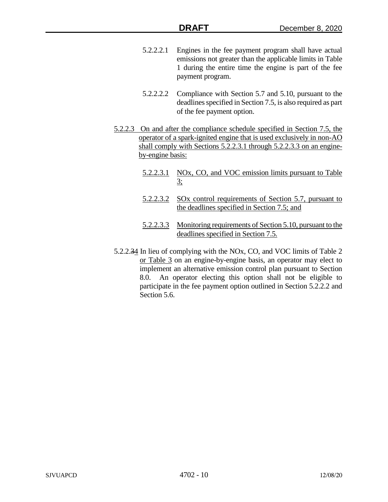- 5.2.2.2.1 Engines in the fee payment program shall have actual emissions not greater than the applicable limits in Table 1 during the entire time the engine is part of the fee payment program.
- 5.2.2.2.2 Compliance with Section 5.7 and 5.10, pursuant to the deadlines specified in Section 7.5, is also required as part of the fee payment option.
- 5.2.2.3 On and after the compliance schedule specified in Section 7.5, the operator of a spark-ignited engine that is used exclusively in non-AO shall comply with Sections 5.2.2.3.1 through 5.2.2.3.3 on an engineby-engine basis:
	- 5.2.2.3.1 NOx, CO, and VOC emission limits pursuant to Table 3;
	- 5.2.2.3.2 SOx control requirements of Section 5.7, pursuant to the deadlines specified in Section 7.5; and
	- 5.2.2.3.3 Monitoring requirements of Section 5.10, pursuant to the deadlines specified in Section 7.5.
- 5.2.2.34 In lieu of complying with the NOx, CO, and VOC limits of Table 2 or Table 3 on an engine-by-engine basis, an operator may elect to implement an alternative emission control plan pursuant to Section 8.0. An operator electing this option shall not be eligible to participate in the fee payment option outlined in Section 5.2.2.2 and Section 5.6.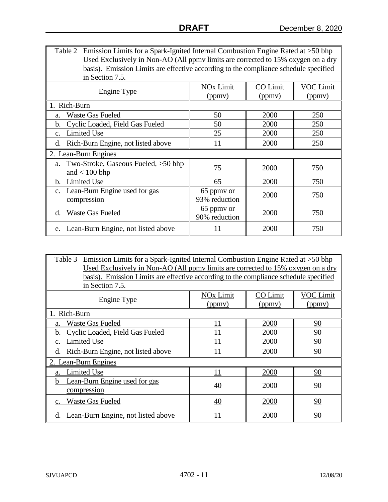| Emission Limits for a Spark-Ignited Internal Combustion Engine Rated at >50 bhp<br>Table 2<br>Used Exclusively in Non-AO (All ppmv limits are corrected to 15% oxygen on a dry<br>basis). Emission Limits are effective according to the compliance schedule specified<br>in Section 7.5. |                             |                 |                  |  |  |
|-------------------------------------------------------------------------------------------------------------------------------------------------------------------------------------------------------------------------------------------------------------------------------------------|-----------------------------|-----------------|------------------|--|--|
| Engine Type                                                                                                                                                                                                                                                                               | <b>NO<sub>x</sub></b> Limit | <b>CO</b> Limit | <b>VOC Limit</b> |  |  |
|                                                                                                                                                                                                                                                                                           | (ppmv)                      | (ppmv)          | (ppmv)           |  |  |
| 1. Rich-Burn                                                                                                                                                                                                                                                                              |                             |                 |                  |  |  |
| <b>Waste Gas Fueled</b><br>a.                                                                                                                                                                                                                                                             | 50                          | 2000            | 250              |  |  |
| Cyclic Loaded, Field Gas Fueled<br>b.                                                                                                                                                                                                                                                     | 50                          | 2000            | 250              |  |  |
| <b>Limited Use</b><br>$C_{-}$                                                                                                                                                                                                                                                             | 25                          | 2000            | 250              |  |  |
| Rich-Burn Engine, not listed above<br>d.                                                                                                                                                                                                                                                  | 11                          | 2000            | 250              |  |  |
| 2. Lean-Burn Engines                                                                                                                                                                                                                                                                      |                             |                 |                  |  |  |
| a. Two-Stroke, Gaseous Fueled, >50 bhp                                                                                                                                                                                                                                                    | 75                          | 2000            | 750              |  |  |
| and $< 100$ bhp                                                                                                                                                                                                                                                                           |                             |                 |                  |  |  |
| <b>Limited Use</b><br>$\mathbf{b}$ .                                                                                                                                                                                                                                                      | 65                          | 2000            | 750              |  |  |
| c. Lean-Burn Engine used for gas                                                                                                                                                                                                                                                          | 65 ppmy or                  | 2000            | 750              |  |  |
| compression                                                                                                                                                                                                                                                                               | 93% reduction               |                 |                  |  |  |
| d. Waste Gas Fueled                                                                                                                                                                                                                                                                       | 65 ppmy or<br>90% reduction | 2000            | 750              |  |  |
| e. Lean-Burn Engine, not listed above                                                                                                                                                                                                                                                     | 11                          | 2000            | 750              |  |  |

| Emission Limits for a Spark-Ignited Internal Combustion Engine Rated at >50 bhp<br>Table 3 |                                                                                  |          |           |  |  |
|--------------------------------------------------------------------------------------------|----------------------------------------------------------------------------------|----------|-----------|--|--|
|                                                                                            | Used Exclusively in Non-AO (All ppmy limits are corrected to 15% oxygen on a dry |          |           |  |  |
| basis). Emission Limits are effective according to the compliance schedule specified       |                                                                                  |          |           |  |  |
| in Section 7.5.                                                                            |                                                                                  |          |           |  |  |
|                                                                                            | NOx Limit                                                                        | CO Limit | VOC Limit |  |  |
| <b>Engine Type</b>                                                                         | (ppmy)                                                                           | (ppmv)   | (ppmy)    |  |  |
| 1. Rich-Burn                                                                               |                                                                                  |          |           |  |  |
| Waste Gas Fueled                                                                           | 11                                                                               | 2000     | 90        |  |  |
| Cyclic Loaded, Field Gas Fueled<br>h.                                                      | 11                                                                               | 2000     | 90        |  |  |
| <b>Limited Use</b>                                                                         | 11                                                                               | 2000     | 90        |  |  |
| Rich-Burn Engine, not listed above<br>d.                                                   |                                                                                  | 2000     | 90        |  |  |
| 2. Lean-Burn Engines                                                                       |                                                                                  |          |           |  |  |
| Limited Use                                                                                | 11                                                                               | 2000     | 90        |  |  |
| Lean-Burn Engine used for gas                                                              | 40                                                                               | 2000     | 90        |  |  |
| compression                                                                                |                                                                                  |          |           |  |  |
| <b>Waste Gas Fueled</b>                                                                    | 40                                                                               | 2000     | 90        |  |  |
| Lean-Burn Engine, not listed above<br>d.                                                   | 11                                                                               | 2000     | 90        |  |  |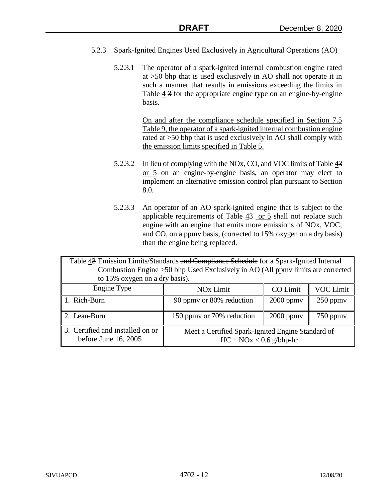- 5.2.3 Spark-Ignited Engines Used Exclusively in Agricultural Operations (AO)
	- 5.2.3.1 The operator of a spark-ignited internal combustion engine rated at >50 bhp that is used exclusively in AO shall not operate it in such a manner that results in emissions exceeding the limits in Table  $\frac{4}{3}$  for the appropriate engine type on an engine-by-engine basis.

On and after the compliance schedule specified in Section 7.5 Table 9, the operator of a spark-ignited internal combustion engine rated at >50 bhp that is used exclusively in AO shall comply with the emission limits specified in Table 5.

- 5.2.3.2 In lieu of complying with the NOx, CO, and VOC limits of Table  $\frac{43}{3}$ or 5 on an engine-by-engine basis, an operator may elect to implement an alternative emission control plan pursuant to Section 8.0.
- 5.2.3.3 An operator of an AO spark-ignited engine that is subject to the applicable requirements of Table 43 or 5 shall not replace such engine with an engine that emits more emissions of NOx, VOC, and CO, on a ppmv basis, (corrected to 15% oxygen on a dry basis) than the engine being replaced.

Table 43 Emission Limits/Standards and Compliance Schedule for a Spark-Ignited Internal Combustion Engine >50 bhp Used Exclusively in AO (All ppmv limits are corrected to 15% oxygen on a dry basis). Engine Type NOx Limit | CO Limit | VOC Limit 1. Rich-Burn  $\parallel$  90 ppmv or 80% reduction  $\parallel$  2000 ppmv  $\parallel$  250 ppmv 2. Lean-Burn 150 ppmv or 70% reduction 2000 ppmv 750 ppmv 3. Certified and installed on or before June 16, 2005 Meet a Certified Spark-Ignited Engine Standard of  $HC + NOx < 0.6$  g/bhp-hr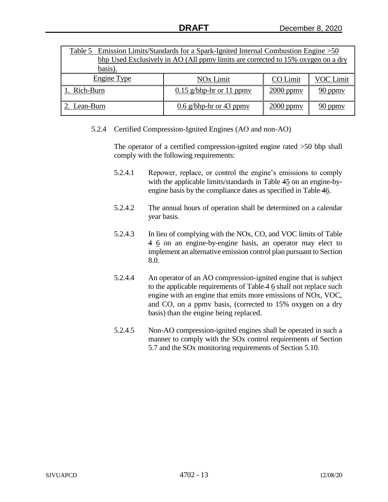| Table 5 Emission Limits/Standards for a Spark-Ignited Internal Combustion Engine > 50       |                                                      |  |           |  |  |  |
|---------------------------------------------------------------------------------------------|------------------------------------------------------|--|-----------|--|--|--|
| bhp Used Exclusively in AO (All ppmy limits are corrected to 15% oxygen on a dry<br>basis). |                                                      |  |           |  |  |  |
| Engine Type                                                                                 | CO Limit<br><b>NO<sub>x</sub></b> Limit<br>VOC Limit |  |           |  |  |  |
| Rich-Burn                                                                                   | $0.15$ g/bhp-hr or 11 ppmy                           |  | $90$ ppmy |  |  |  |
| $0.6$ g/bhp-hr or 43 ppmy<br>$2000$ ppmy<br>2. Lean-Burn<br>$90$ ppmy                       |                                                      |  |           |  |  |  |

5.2.4 Certified Compression-Ignited Engines (AO and non-AO)

The operator of a certified compression-ignited engine rated >50 bhp shall comply with the following requirements:

- 5.2.4.1 Repower, replace, or control the engine's emissions to comply with the applicable limits/standards in Table 45 on an engine-byengine basis by the compliance dates as specified in Table 46.
- 5.2.4.2 The annual hours of operation shall be determined on a calendar year basis.
- 5.2.4.3 In lieu of complying with the NOx, CO, and VOC limits of Table 4 6 on an engine-by-engine basis, an operator may elect to implement an alternative emission control plan pursuant to Section 8.0.
- 5.2.4.4 An operator of an AO compression-ignited engine that is subject to the applicable requirements of Table 4 6 shall not replace such engine with an engine that emits more emissions of NOx, VOC, and CO, on a ppmv basis, (corrected to 15% oxygen on a dry basis) than the engine being replaced.
- 5.2.4.5 Non-AO compression-ignited engines shall be operated in such a manner to comply with the SOx control requirements of Section 5.7 and the SOx monitoring requirements of Section 5.10.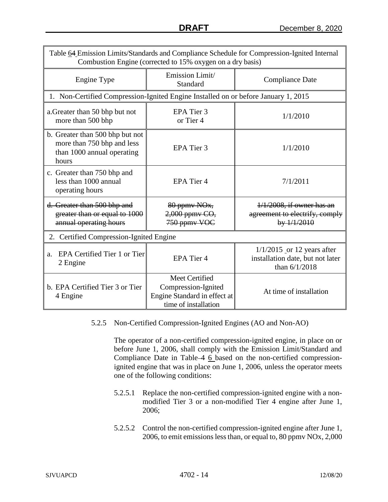| Table 64 Emission Limits/Standards and Compliance Schedule for Compression-Ignited Internal<br>Combustion Engine (corrected to 15% oxygen on a dry basis) |                                                                                               |                                                                                     |  |  |
|-----------------------------------------------------------------------------------------------------------------------------------------------------------|-----------------------------------------------------------------------------------------------|-------------------------------------------------------------------------------------|--|--|
| Engine Type                                                                                                                                               | Emission Limit/<br>Standard                                                                   | <b>Compliance Date</b>                                                              |  |  |
| 1. Non-Certified Compression-Ignited Engine Installed on or before January 1, 2015                                                                        |                                                                                               |                                                                                     |  |  |
| a. Greater than 50 bhp but not<br>more than 500 bhp                                                                                                       | EPA Tier 3<br>or Tier 4                                                                       | 1/1/2010                                                                            |  |  |
| b. Greater than 500 bhp but not<br>more than 750 bhp and less<br>than 1000 annual operating<br>hours                                                      | EPA Tier 3                                                                                    | 1/1/2010                                                                            |  |  |
| c. Greater than 750 bhp and<br>less than 1000 annual<br>operating hours                                                                                   | EPA Tier 4                                                                                    | 7/1/2011                                                                            |  |  |
| d. Greater than 500 bhp and<br>greater than or equal to 1000<br>annual operating hours                                                                    | 80 ppmv NO <sub>x</sub> ,<br>2,000 ppmv CO,<br>750 ppmy VOC                                   | $1/1/2008$ , if owner has an<br>agreement to electrify, comply<br>by 1/1/2010       |  |  |
| 2. Certified Compression-Ignited Engine                                                                                                                   |                                                                                               |                                                                                     |  |  |
| EPA Certified Tier 1 or Tier<br>a.<br>2 Engine                                                                                                            | EPA Tier 4                                                                                    | $1/1/2015$ or 12 years after<br>installation date, but not later<br>than $6/1/2018$ |  |  |
| b. EPA Certified Tier 3 or Tier<br>4 Engine                                                                                                               | Meet Certified<br>Compression-Ignited<br>Engine Standard in effect at<br>time of installation | At time of installation                                                             |  |  |

## 5.2.5 Non-Certified Compression-Ignited Engines (AO and Non-AO)

The operator of a non-certified compression-ignited engine, in place on or before June 1, 2006, shall comply with the Emission Limit/Standard and Compliance Date in Table 4 6 based on the non-certified compressionignited engine that was in place on June 1, 2006, unless the operator meets one of the following conditions:

- 5.2.5.1 Replace the non-certified compression-ignited engine with a nonmodified Tier 3 or a non-modified Tier 4 engine after June 1, 2006;
- 5.2.5.2 Control the non-certified compression-ignited engine after June 1, 2006, to emit emissions less than, or equal to, 80 ppmv NOx, 2,000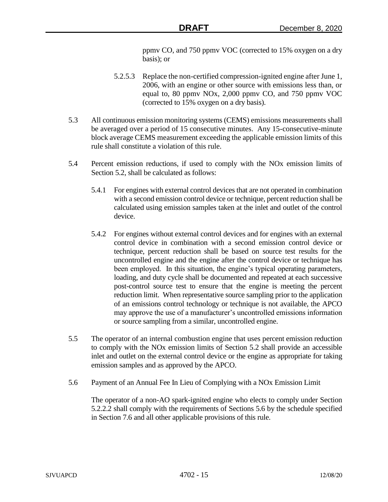ppmv CO, and 750 ppmv VOC (corrected to 15% oxygen on a dry basis); or

- 5.2.5.3 Replace the non-certified compression-ignited engine after June 1, 2006, with an engine or other source with emissions less than, or equal to, 80 ppmv NOx, 2,000 ppmv CO, and 750 ppmv VOC (corrected to 15% oxygen on a dry basis).
- 5.3 All continuous emission monitoring systems (CEMS) emissions measurements shall be averaged over a period of 15 consecutive minutes. Any 15-consecutive-minute block average CEMS measurement exceeding the applicable emission limits of this rule shall constitute a violation of this rule.
- 5.4 Percent emission reductions, if used to comply with the NOx emission limits of Section 5.2, shall be calculated as follows:
	- 5.4.1 For engines with external control devices that are not operated in combination with a second emission control device or technique, percent reduction shall be calculated using emission samples taken at the inlet and outlet of the control device.
	- 5.4.2 For engines without external control devices and for engines with an external control device in combination with a second emission control device or technique, percent reduction shall be based on source test results for the uncontrolled engine and the engine after the control device or technique has been employed. In this situation, the engine's typical operating parameters, loading, and duty cycle shall be documented and repeated at each successive post-control source test to ensure that the engine is meeting the percent reduction limit. When representative source sampling prior to the application of an emissions control technology or technique is not available, the APCO may approve the use of a manufacturer's uncontrolled emissions information or source sampling from a similar, uncontrolled engine.
- 5.5 The operator of an internal combustion engine that uses percent emission reduction to comply with the NOx emission limits of Section 5.2 shall provide an accessible inlet and outlet on the external control device or the engine as appropriate for taking emission samples and as approved by the APCO.
- 5.6 Payment of an Annual Fee In Lieu of Complying with a NOx Emission Limit

The operator of a non-AO spark-ignited engine who elects to comply under Section 5.2.2.2 shall comply with the requirements of Sections 5.6 by the schedule specified in Section 7.6 and all other applicable provisions of this rule.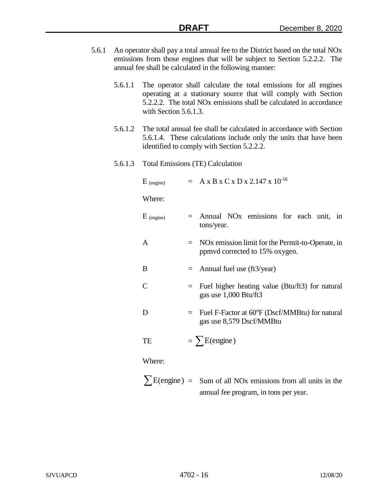- 5.6.1 An operator shall pay a total annual fee to the District based on the total NOx emissions from those engines that will be subject to Section 5.2.2.2. The annual fee shall be calculated in the following manner:
	- 5.6.1.1 The operator shall calculate the total emissions for all engines operating at a stationary source that will comply with Section 5.2.2.2. The total NOx emissions shall be calculated in accordance with Section 5.6.1.3.
	- 5.6.1.2 The total annual fee shall be calculated in accordance with Section 5.6.1.4. These calculations include only the units that have been identified to comply with Section 5.2.2.2.
	- 5.6.1.3 Total Emissions (TE) Calculation

| $E$ (engine)   |     | $= A x B x C x D x 2.147 x 10^{-16}$                                                   |
|----------------|-----|----------------------------------------------------------------------------------------|
| Where:         |     |                                                                                        |
| $E_{(engine)}$ |     | $=$ Annual NO <sub>x</sub> emissions for each unit, in<br>tons/year.                   |
| $\mathsf{A}$   |     | $=$ NOx emission limit for the Permit-to-Operate, in<br>ppmvd corrected to 15% oxygen. |
| B              |     | $=$ Annual fuel use (ft3/year)                                                         |
| $\mathcal{C}$  | $=$ | Fuel higher heating value (Btu/ft3) for natural<br>gas use 1,000 Btu/ft3               |
| D              |     | Fuel F-Factor at 60°F (Dscf/MMBtu) for natural<br>gas use 8,579 Dscf/MMBtu             |
| TE             |     | $= \sum E$ (engine)                                                                    |
| Where:         |     |                                                                                        |

 $\sum E(\text{engine}) = \text{Sum of all NOx emissions from all units in the}$ annual fee program, in tons per year.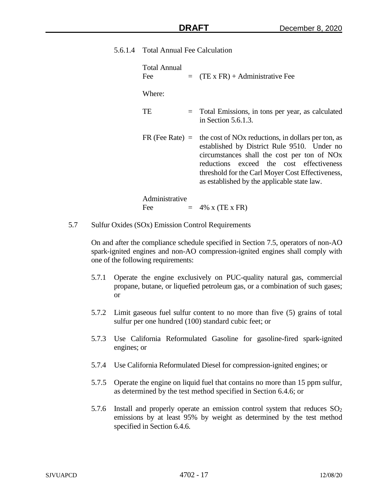5.6.1.4 Total Annual Fee Calculation

| Total Annual<br>Fee | $=$ (TE x FR) + Administrative Fee                                                                                                                                                                                                                                                                                      |
|---------------------|-------------------------------------------------------------------------------------------------------------------------------------------------------------------------------------------------------------------------------------------------------------------------------------------------------------------------|
| Where:              |                                                                                                                                                                                                                                                                                                                         |
| <b>TE</b>           | = Total Emissions, in tons per year, as calculated<br>in Section $5.6.1.3$ .                                                                                                                                                                                                                                            |
| $FR$ (Fee Rate) $=$ | the cost of NO <sub>x</sub> reductions, in dollars per ton, as<br>established by District Rule 9510. Under no<br>circumstances shall the cost per ton of NO <sub>x</sub><br>reductions exceed the cost effectiveness<br>threshold for the Carl Moyer Cost Effectiveness,<br>as established by the applicable state law. |
| Administrative      |                                                                                                                                                                                                                                                                                                                         |
| Fee                 | $= 4\% \times (TE \times FR)$                                                                                                                                                                                                                                                                                           |

- 
- 5.7 Sulfur Oxides (SOx) Emission Control Requirements

On and after the compliance schedule specified in Section 7.5, operators of non-AO spark-ignited engines and non-AO compression-ignited engines shall comply with one of the following requirements:

- 5.7.1 Operate the engine exclusively on PUC-quality natural gas, commercial propane, butane, or liquefied petroleum gas, or a combination of such gases; or
- 5.7.2 Limit gaseous fuel sulfur content to no more than five (5) grains of total sulfur per one hundred (100) standard cubic feet; or
- 5.7.3 Use California Reformulated Gasoline for gasoline-fired spark-ignited engines; or
- 5.7.4 Use California Reformulated Diesel for compression-ignited engines; or
- 5.7.5 Operate the engine on liquid fuel that contains no more than 15 ppm sulfur, as determined by the test method specified in Section 6.4.6; or
- 5.7.6 Install and properly operate an emission control system that reduces  $SO<sub>2</sub>$ emissions by at least 95% by weight as determined by the test method specified in Section 6.4.6.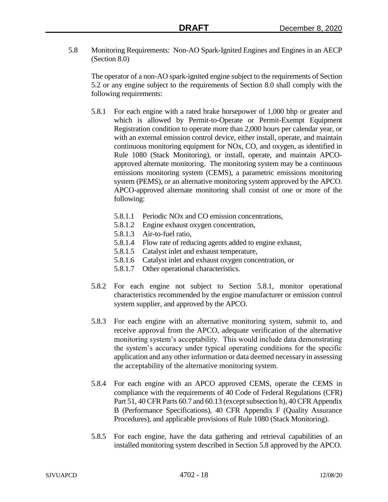5.8 Monitoring Requirements: Non-AO Spark-Ignited Engines and Engines in an AECP (Section 8.0)

The operator of a non-AO spark-ignited engine subject to the requirements of Section 5.2 or any engine subject to the requirements of Section 8.0 shall comply with the following requirements:

- 5.8.1 For each engine with a rated brake horsepower of 1,000 bhp or greater and which is allowed by Permit-to-Operate or Permit-Exempt Equipment Registration condition to operate more than 2,000 hours per calendar year, or with an external emission control device, either install, operate, and maintain continuous monitoring equipment for NOx, CO, and oxygen, as identified in Rule 1080 (Stack Monitoring), or install, operate, and maintain APCOapproved alternate monitoring. The monitoring system may be a continuous emissions monitoring system (CEMS), a parametric emissions monitoring system (PEMS), or an alternative monitoring system approved by the APCO. APCO-approved alternate monitoring shall consist of one or more of the following:
	- 5.8.1.1 Periodic NOx and CO emission concentrations,
	- 5.8.1.2 Engine exhaust oxygen concentration,
	- 5.8.1.3 Air-to-fuel ratio,
	- 5.8.1.4 Flow rate of reducing agents added to engine exhaust,
	- 5.8.1.5 Catalyst inlet and exhaust temperature,
	- 5.8.1.6 Catalyst inlet and exhaust oxygen concentration, or
	- 5.8.1.7 Other operational characteristics.
- 5.8.2 For each engine not subject to Section 5.8.1, monitor operational characteristics recommended by the engine manufacturer or emission control system supplier, and approved by the APCO.
- 5.8.3 For each engine with an alternative monitoring system, submit to, and receive approval from the APCO, adequate verification of the alternative monitoring system's acceptability. This would include data demonstrating the system's accuracy under typical operating conditions for the specific application and any other information or data deemed necessary in assessing the acceptability of the alternative monitoring system.
- 5.8.4 For each engine with an APCO approved CEMS, operate the CEMS in compliance with the requirements of 40 Code of Federal Regulations (CFR) Part 51, 40 CFR Parts 60.7 and 60.13 (except subsection h), 40 CFR Appendix B (Performance Specifications), 40 CFR Appendix F (Quality Assurance Procedures), and applicable provisions of Rule 1080 (Stack Monitoring).
- 5.8.5 For each engine, have the data gathering and retrieval capabilities of an installed monitoring system described in Section 5.8 approved by the APCO.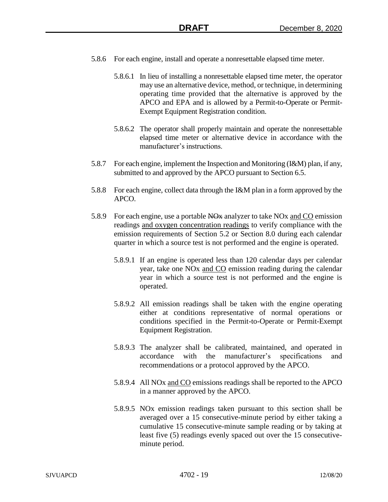- 5.8.6 For each engine, install and operate a nonresettable elapsed time meter.
	- 5.8.6.1 In lieu of installing a nonresettable elapsed time meter, the operator may use an alternative device, method, or technique, in determining operating time provided that the alternative is approved by the APCO and EPA and is allowed by a Permit-to-Operate or Permit-Exempt Equipment Registration condition.
	- 5.8.6.2 The operator shall properly maintain and operate the nonresettable elapsed time meter or alternative device in accordance with the manufacturer's instructions.
- 5.8.7 For each engine, implement the Inspection and Monitoring (I&M) plan, if any, submitted to and approved by the APCO pursuant to Section 6.5.
- 5.8.8 For each engine, collect data through the I&M plan in a form approved by the APCO.
- 5.8.9 For each engine, use a portable NO<sub>x</sub> analyzer to take NO<sub>x</sub> and CO emission readings and oxygen concentration readings to verify compliance with the emission requirements of Section 5.2 or Section 8.0 during each calendar quarter in which a source test is not performed and the engine is operated.
	- 5.8.9.1 If an engine is operated less than 120 calendar days per calendar year, take one NOx and CO emission reading during the calendar year in which a source test is not performed and the engine is operated.
	- 5.8.9.2 All emission readings shall be taken with the engine operating either at conditions representative of normal operations or conditions specified in the Permit-to-Operate or Permit-Exempt Equipment Registration.
	- 5.8.9.3 The analyzer shall be calibrated, maintained, and operated in accordance with the manufacturer's specifications and recommendations or a protocol approved by the APCO.
	- 5.8.9.4 All NOx and CO emissions readings shall be reported to the APCO in a manner approved by the APCO.
	- 5.8.9.5 NOx emission readings taken pursuant to this section shall be averaged over a 15 consecutive-minute period by either taking a cumulative 15 consecutive-minute sample reading or by taking at least five (5) readings evenly spaced out over the 15 consecutiveminute period.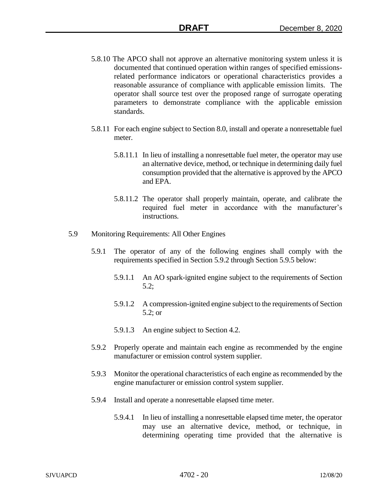- 5.8.10 The APCO shall not approve an alternative monitoring system unless it is documented that continued operation within ranges of specified emissionsrelated performance indicators or operational characteristics provides a reasonable assurance of compliance with applicable emission limits. The operator shall source test over the proposed range of surrogate operating parameters to demonstrate compliance with the applicable emission standards.
- 5.8.11 For each engine subject to Section 8.0, install and operate a nonresettable fuel meter.
	- 5.8.11.1 In lieu of installing a nonresettable fuel meter, the operator may use an alternative device, method, or technique in determining daily fuel consumption provided that the alternative is approved by the APCO and EPA.
	- 5.8.11.2 The operator shall properly maintain, operate, and calibrate the required fuel meter in accordance with the manufacturer's instructions.
- 5.9 Monitoring Requirements: All Other Engines
	- 5.9.1 The operator of any of the following engines shall comply with the requirements specified in Section 5.9.2 through Section 5.9.5 below:
		- 5.9.1.1 An AO spark-ignited engine subject to the requirements of Section 5.2;
		- 5.9.1.2 A compression-ignited engine subject to the requirements of Section 5.2; or
		- 5.9.1.3 An engine subject to Section 4.2.
	- 5.9.2 Properly operate and maintain each engine as recommended by the engine manufacturer or emission control system supplier.
	- 5.9.3 Monitor the operational characteristics of each engine as recommended by the engine manufacturer or emission control system supplier.
	- 5.9.4 Install and operate a nonresettable elapsed time meter.
		- 5.9.4.1 In lieu of installing a nonresettable elapsed time meter, the operator may use an alternative device, method, or technique, in determining operating time provided that the alternative is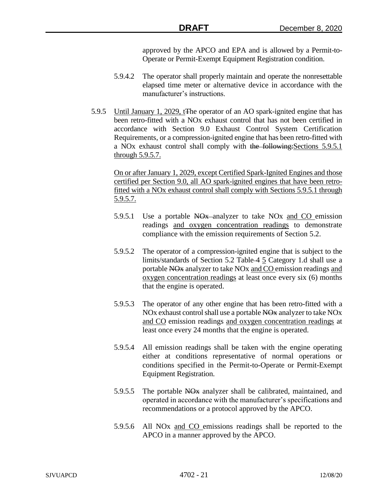approved by the APCO and EPA and is allowed by a Permit-to-Operate or Permit-Exempt Equipment Registration condition.

- 5.9.4.2 The operator shall properly maintain and operate the nonresettable elapsed time meter or alternative device in accordance with the manufacturer's instructions.
- 5.9.5 Until January 1, 2029, tThe operator of an AO spark-ignited engine that has been retro-fitted with a NOx exhaust control that has not been certified in accordance with Section 9.0 Exhaust Control System Certification Requirements, or a compression-ignited engine that has been retro-fitted with a NOx exhaust control shall comply with the following:Sections 5.9.5.1 through 5.9.5.7.

On or after January 1, 2029, except Certified Spark-Ignited Engines and those certified per Section 9.0, all AO spark-ignited engines that have been retrofitted with a NOx exhaust control shall comply with Sections 5.9.5.1 through 5.9.5.7.

- 5.9.5.1 Use a portable NOx analyzer to take NOx and CO emission readings and oxygen concentration readings to demonstrate compliance with the emission requirements of Section 5.2.
- 5.9.5.2 The operator of a compression-ignited engine that is subject to the limits/standards of Section 5.2 Table 4 5 Category 1.d shall use a portable NOx analyzer to take NOx and CO emission readings and oxygen concentration readings at least once every six (6) months that the engine is operated.
- 5.9.5.3 The operator of any other engine that has been retro-fitted with a NOx exhaust control shall use a portable NOx analyzer to take NOx and CO emission readings and oxygen concentration readings at least once every 24 months that the engine is operated.
- 5.9.5.4 All emission readings shall be taken with the engine operating either at conditions representative of normal operations or conditions specified in the Permit-to-Operate or Permit-Exempt Equipment Registration.
- 5.9.5.5 The portable NO<sub>x</sub> analyzer shall be calibrated, maintained, and operated in accordance with the manufacturer's specifications and recommendations or a protocol approved by the APCO.
- 5.9.5.6 All NOx and CO emissions readings shall be reported to the APCO in a manner approved by the APCO.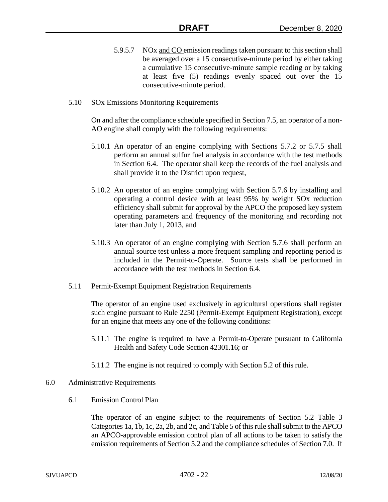- 5.9.5.7 NOx and CO emission readings taken pursuant to this section shall be averaged over a 15 consecutive-minute period by either taking a cumulative 15 consecutive-minute sample reading or by taking at least five (5) readings evenly spaced out over the 15 consecutive-minute period.
- 5.10 SOx Emissions Monitoring Requirements

On and after the compliance schedule specified in Section 7.5, an operator of a non-AO engine shall comply with the following requirements:

- 5.10.1 An operator of an engine complying with Sections 5.7.2 or 5.7.5 shall perform an annual sulfur fuel analysis in accordance with the test methods in Section 6.4. The operator shall keep the records of the fuel analysis and shall provide it to the District upon request,
- 5.10.2 An operator of an engine complying with Section 5.7.6 by installing and operating a control device with at least 95% by weight SOx reduction efficiency shall submit for approval by the APCO the proposed key system operating parameters and frequency of the monitoring and recording not later than July 1, 2013, and
- 5.10.3 An operator of an engine complying with Section 5.7.6 shall perform an annual source test unless a more frequent sampling and reporting period is included in the Permit-to-Operate. Source tests shall be performed in accordance with the test methods in Section 6.4.
- 5.11 Permit-Exempt Equipment Registration Requirements

The operator of an engine used exclusively in agricultural operations shall register such engine pursuant to Rule 2250 (Permit-Exempt Equipment Registration), except for an engine that meets any one of the following conditions:

- 5.11.1 The engine is required to have a Permit-to-Operate pursuant to California Health and Safety Code Section 42301.16; or
- 5.11.2 The engine is not required to comply with Section 5.2 of this rule.
- 6.0 Administrative Requirements
	- 6.1 Emission Control Plan

The operator of an engine subject to the requirements of Section 5.2 Table 3 Categories 1a, 1b, 1c, 2a, 2b, and 2c, and Table 5 of this rule shall submit to the APCO an APCO-approvable emission control plan of all actions to be taken to satisfy the emission requirements of Section 5.2 and the compliance schedules of Section 7.0. If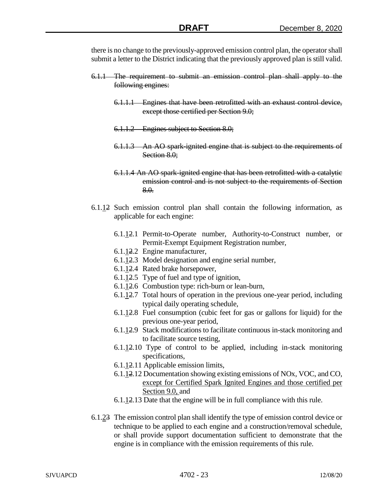there is no change to the previously-approved emission control plan, the operator shall submit a letter to the District indicating that the previously approved plan is still valid.

- 6.1.1 The requirement to submit an emission control plan shall apply to the following engines:
	- 6.1.1.1 Engines that have been retrofitted with an exhaust control device, except those certified per Section 9.0;
	- 6.1.1.2 Engines subject to Section 8.0;
	- 6.1.1.3 An AO spark-ignited engine that is subject to the requirements of Section 8.0;
	- 6.1.1.4 An AO spark-ignited engine that has been retrofitted with a catalytic emission control and is not subject to the requirements of Section 8.0.
- 6.1.12 Such emission control plan shall contain the following information, as applicable for each engine:
	- 6.1.12.1 Permit-to-Operate number, Authority-to-Construct number, or Permit-Exempt Equipment Registration number,
	- 6.1.12.2 Engine manufacturer,
	- 6.1.12.3 Model designation and engine serial number,
	- 6.1.12.4 Rated brake horsepower,
	- 6.1.12.5 Type of fuel and type of ignition,
	- 6.1.12.6 Combustion type: rich-burn or lean-burn,
	- 6.1.12.7 Total hours of operation in the previous one-year period, including typical daily operating schedule,
	- 6.1.12.8 Fuel consumption (cubic feet for gas or gallons for liquid) for the previous one-year period,
	- 6.1.12.9 Stack modifications to facilitate continuous in-stack monitoring and to facilitate source testing,
	- 6.1.12.10 Type of control to be applied, including in-stack monitoring specifications,
	- 6.1.12.11 Applicable emission limits,
	- 6.1.12.12 Documentation showing existing emissions of NOx, VOC, and CO, except for Certified Spark Ignited Engines and those certified per Section 9.0, and
	- 6.1.12.13 Date that the engine will be in full compliance with this rule.
- 6.1.23 The emission control plan shall identify the type of emission control device or technique to be applied to each engine and a construction/removal schedule, or shall provide support documentation sufficient to demonstrate that the engine is in compliance with the emission requirements of this rule.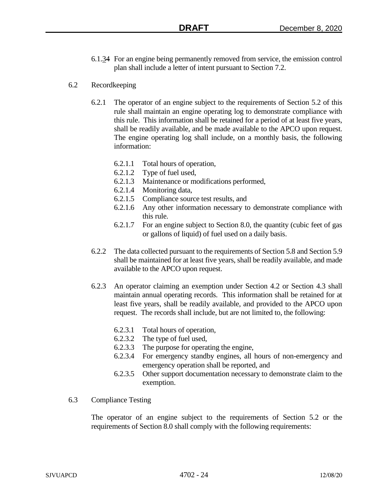- 6.1.34 For an engine being permanently removed from service, the emission control plan shall include a letter of intent pursuant to Section 7.2.
- 6.2 Recordkeeping
	- 6.2.1 The operator of an engine subject to the requirements of Section 5.2 of this rule shall maintain an engine operating log to demonstrate compliance with this rule. This information shall be retained for a period of at least five years, shall be readily available, and be made available to the APCO upon request. The engine operating log shall include, on a monthly basis, the following information:
		- 6.2.1.1 Total hours of operation,
		- 6.2.1.2 Type of fuel used,
		- 6.2.1.3 Maintenance or modifications performed,
		- 6.2.1.4 Monitoring data,
		- 6.2.1.5 Compliance source test results, and
		- 6.2.1.6 Any other information necessary to demonstrate compliance with this rule.
		- 6.2.1.7 For an engine subject to Section 8.0, the quantity (cubic feet of gas or gallons of liquid) of fuel used on a daily basis.
	- 6.2.2 The data collected pursuant to the requirements of Section 5.8 and Section 5.9 shall be maintained for at least five years, shall be readily available, and made available to the APCO upon request.
	- 6.2.3 An operator claiming an exemption under Section 4.2 or Section 4.3 shall maintain annual operating records. This information shall be retained for at least five years, shall be readily available, and provided to the APCO upon request. The records shall include, but are not limited to, the following:
		- 6.2.3.1 Total hours of operation,
		- 6.2.3.2 The type of fuel used,
		- 6.2.3.3 The purpose for operating the engine,
		- 6.2.3.4 For emergency standby engines, all hours of non-emergency and emergency operation shall be reported, and
		- 6.2.3.5 Other support documentation necessary to demonstrate claim to the exemption.
- 6.3 Compliance Testing

The operator of an engine subject to the requirements of Section 5.2 or the requirements of Section 8.0 shall comply with the following requirements: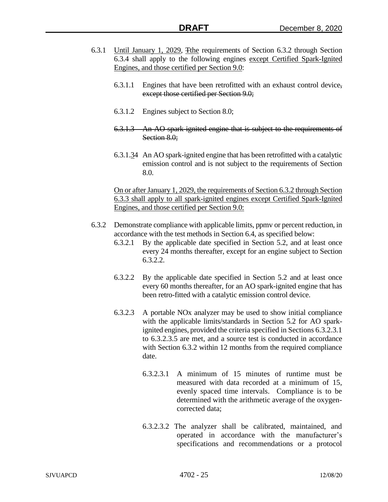- 6.3.1 Until January 1, 2029, The requirements of Section 6.3.2 through Section 6.3.4 shall apply to the following engines except Certified Spark-Ignited Engines, and those certified per Section 9.0:
	- 6.3.1.1 Engines that have been retrofitted with an exhaust control device, except those certified per Section 9.0;
	- 6.3.1.2 Engines subject to Section 8.0;
	- 6.3.1.3 An AO spark-ignited engine that is subject to the requirements of Section 8.0;
	- 6.3.1.34 An AO spark-ignited engine that has been retrofitted with a catalytic emission control and is not subject to the requirements of Section 8.0.

On or after January 1, 2029, the requirements of Section 6.3.2 through Section 6.3.3 shall apply to all spark-ignited engines except Certified Spark-Ignited Engines, and those certified per Section 9.0:

- 6.3.2 Demonstrate compliance with applicable limits, ppmv or percent reduction, in accordance with the test methods in Section 6.4, as specified below:
	- 6.3.2.1 By the applicable date specified in Section 5.2, and at least once every 24 months thereafter, except for an engine subject to Section 6.3.2.2.
	- 6.3.2.2 By the applicable date specified in Section 5.2 and at least once every 60 months thereafter, for an AO spark-ignited engine that has been retro-fitted with a catalytic emission control device.
	- 6.3.2.3 A portable NOx analyzer may be used to show initial compliance with the applicable limits/standards in Section 5.2 for AO sparkignited engines, provided the criteria specified in Sections 6.3.2.3.1 to 6.3.2.3.5 are met, and a source test is conducted in accordance with Section 6.3.2 within 12 months from the required compliance date.
		- 6.3.2.3.1 A minimum of 15 minutes of runtime must be measured with data recorded at a minimum of 15, evenly spaced time intervals. Compliance is to be determined with the arithmetic average of the oxygencorrected data;
		- 6.3.2.3.2 The analyzer shall be calibrated, maintained, and operated in accordance with the manufacturer's specifications and recommendations or a protocol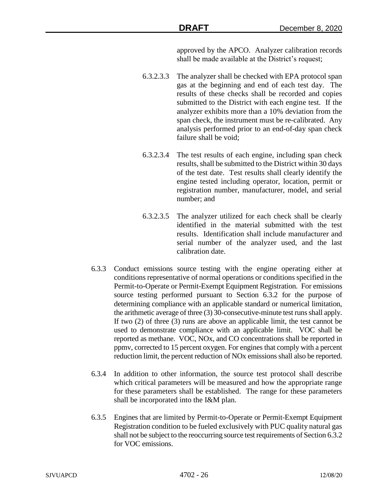approved by the APCO. Analyzer calibration records shall be made available at the District's request;

- 6.3.2.3.3 The analyzer shall be checked with EPA protocol span gas at the beginning and end of each test day. The results of these checks shall be recorded and copies submitted to the District with each engine test. If the analyzer exhibits more than a 10% deviation from the span check, the instrument must be re-calibrated. Any analysis performed prior to an end-of-day span check failure shall be void;
- 6.3.2.3.4 The test results of each engine, including span check results, shall be submitted to the District within 30 days of the test date. Test results shall clearly identify the engine tested including operator, location, permit or registration number, manufacturer, model, and serial number; and
- 6.3.2.3.5 The analyzer utilized for each check shall be clearly identified in the material submitted with the test results. Identification shall include manufacturer and serial number of the analyzer used, and the last calibration date.
- 6.3.3 Conduct emissions source testing with the engine operating either at conditions representative of normal operations or conditions specified in the Permit-to-Operate or Permit-Exempt Equipment Registration. For emissions source testing performed pursuant to Section 6.3.2 for the purpose of determining compliance with an applicable standard or numerical limitation, the arithmetic average of three (3) 30-consecutive-minute test runs shall apply. If two (2) of three (3) runs are above an applicable limit, the test cannot be used to demonstrate compliance with an applicable limit. VOC shall be reported as methane. VOC, NOx, and CO concentrations shall be reported in ppmv, corrected to 15 percent oxygen. For engines that comply with a percent reduction limit, the percent reduction of NOx emissions shall also be reported.
- 6.3.4 In addition to other information, the source test protocol shall describe which critical parameters will be measured and how the appropriate range for these parameters shall be established. The range for these parameters shall be incorporated into the I&M plan.
- 6.3.5 Engines that are limited by Permit-to-Operate or Permit-Exempt Equipment Registration condition to be fueled exclusively with PUC quality natural gas shall not be subject to the reoccurring source test requirements of Section 6.3.2 for VOC emissions.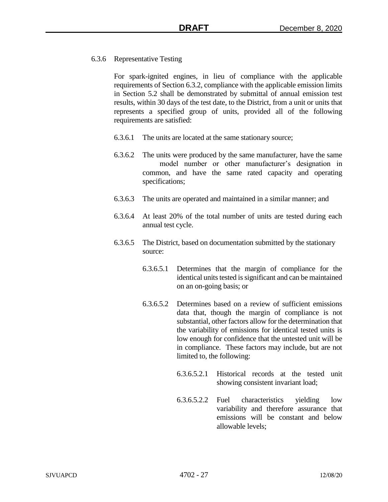# 6.3.6 Representative Testing

For spark-ignited engines, in lieu of compliance with the applicable requirements of Section 6.3.2, compliance with the applicable emission limits in Section 5.2 shall be demonstrated by submittal of annual emission test results, within 30 days of the test date, to the District, from a unit or units that represents a specified group of units, provided all of the following requirements are satisfied:

- 6.3.6.1 The units are located at the same stationary source;
- 6.3.6.2 The units were produced by the same manufacturer, have the same model number or other manufacturer's designation in common, and have the same rated capacity and operating specifications;
- 6.3.6.3 The units are operated and maintained in a similar manner; and
- 6.3.6.4 At least 20% of the total number of units are tested during each annual test cycle.
- 6.3.6.5 The District, based on documentation submitted by the stationary source:
	- 6.3.6.5.1 Determines that the margin of compliance for the identical units tested is significant and can be maintained on an on-going basis; or
	- 6.3.6.5.2 Determines based on a review of sufficient emissions data that, though the margin of compliance is not substantial, other factors allow for the determination that the variability of emissions for identical tested units is low enough for confidence that the untested unit will be in compliance. These factors may include, but are not limited to, the following:
		- 6.3.6.5.2.1 Historical records at the tested unit showing consistent invariant load;
		- 6.3.6.5.2.2 Fuel characteristics yielding low variability and therefore assurance that emissions will be constant and below allowable levels;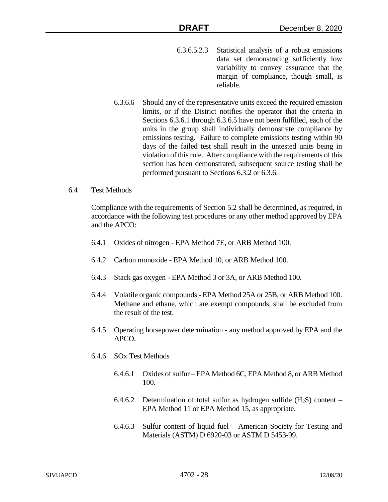- 6.3.6.5.2.3 Statistical analysis of a robust emissions data set demonstrating sufficiently low variability to convey assurance that the margin of compliance, though small, is reliable.
- 6.3.6.6 Should any of the representative units exceed the required emission limits, or if the District notifies the operator that the criteria in Sections 6.3.6.1 through 6.3.6.5 have not been fulfilled, each of the units in the group shall individually demonstrate compliance by emissions testing. Failure to complete emissions testing within 90 days of the failed test shall result in the untested units being in violation of this rule. After compliance with the requirements of this section has been demonstrated, subsequent source testing shall be performed pursuant to Sections 6.3.2 or 6.3.6.
- 6.4 Test Methods

Compliance with the requirements of Section 5.2 shall be determined, as required, in accordance with the following test procedures or any other method approved by EPA and the APCO:

- 6.4.1 Oxides of nitrogen EPA Method 7E, or ARB Method 100.
- 6.4.2 Carbon monoxide EPA Method 10, or ARB Method 100.
- 6.4.3 Stack gas oxygen EPA Method 3 or 3A, or ARB Method 100.
- 6.4.4 Volatile organic compounds EPA Method 25A or 25B, or ARB Method 100. Methane and ethane, which are exempt compounds, shall be excluded from the result of the test.
- 6.4.5 Operating horsepower determination any method approved by EPA and the APCO.
- 6.4.6 SOx Test Methods
	- 6.4.6.1 Oxides of sulfur EPA Method 6C, EPA Method 8, or ARB Method 100.
	- 6.4.6.2 Determination of total sulfur as hydrogen sulfide  $(H_2S)$  content EPA Method 11 or EPA Method 15, as appropriate.
	- 6.4.6.3 Sulfur content of liquid fuel American Society for Testing and Materials (ASTM) D 6920-03 or ASTM D 5453-99.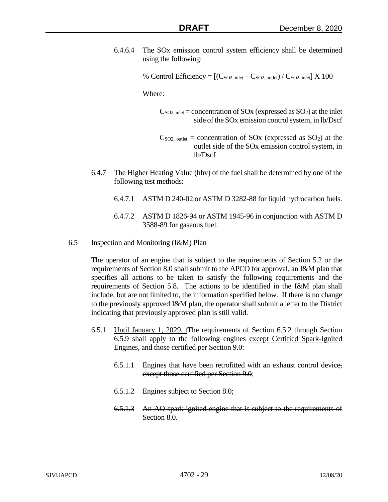6.4.6.4 The SOx emission control system efficiency shall be determined using the following:

% Control Efficiency  $= [(C_{SO2, \text{ inlet}} - C_{SO2, \text{ outlet}}) / C_{SO2, \text{ inlet}}] \times 100$ 

Where:

- $C<sub>SO2</sub>$ , inlet = concentration of SOx (expressed as SO<sub>2</sub>) at the inlet side of the SOx emission control system, in lb/Dscf
- $C<sub>SO2</sub>$ , outlet = concentration of SOx (expressed as SO<sub>2</sub>) at the outlet side of the SOx emission control system, in lb/Dscf
- 6.4.7 The Higher Heating Value (hhv) of the fuel shall be determined by one of the following test methods:
	- 6.4.7.1 ASTM D 240-02 or ASTM D 3282-88 for liquid hydrocarbon fuels.
	- 6.4.7.2 ASTM D 1826-94 or ASTM 1945-96 in conjunction with ASTM D 3588-89 for gaseous fuel.
- 6.5 Inspection and Monitoring (I&M) Plan

The operator of an engine that is subject to the requirements of Section 5.2 or the requirements of Section 8.0 shall submit to the APCO for approval, an I&M plan that specifies all actions to be taken to satisfy the following requirements and the requirements of Section 5.8. The actions to be identified in the I&M plan shall include, but are not limited to, the information specified below. If there is no change to the previously approved I&M plan, the operator shall submit a letter to the District indicating that previously approved plan is still valid.

- 6.5.1 Until January 1, 2029, tThe requirements of Section 6.5.2 through Section 6.5.9 shall apply to the following engines except Certified Spark-Ignited Engines, and those certified per Section 9.0:
	- 6.5.1.1 Engines that have been retrofitted with an exhaust control device, except those certified per Section 9.0;
	- 6.5.1.2 Engines subject to Section 8.0;
	- 6.5.1.3 An AO spark-ignited engine that is subject to the requirements of Section 8.0.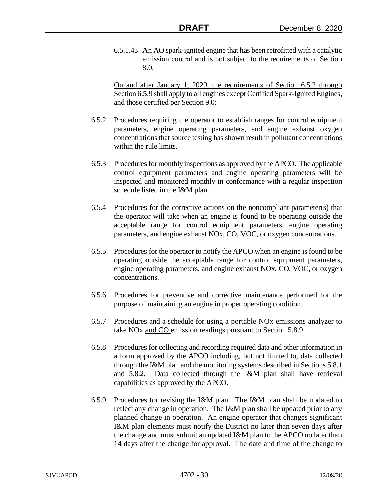6.5.1.43 An AO spark-ignited engine that has been retrofitted with a catalytic emission control and is not subject to the requirements of Section 8.0.

On and after January 1, 2029, the requirements of Section 6.5.2 through Section 6.5.9 shall apply to all engines except Certified Spark-Ignited Engines, and those certified per Section 9.0:

- 6.5.2 Procedures requiring the operator to establish ranges for control equipment parameters, engine operating parameters, and engine exhaust oxygen concentrations that source testing has shown result in pollutant concentrations within the rule limits.
- 6.5.3 Procedures for monthly inspections as approved by the APCO. The applicable control equipment parameters and engine operating parameters will be inspected and monitored monthly in conformance with a regular inspection schedule listed in the I&M plan.
- 6.5.4 Procedures for the corrective actions on the noncompliant parameter(s) that the operator will take when an engine is found to be operating outside the acceptable range for control equipment parameters, engine operating parameters, and engine exhaust NOx, CO, VOC, or oxygen concentrations.
- 6.5.5 Procedures for the operator to notify the APCO when an engine is found to be operating outside the acceptable range for control equipment parameters, engine operating parameters, and engine exhaust NOx, CO, VOC, or oxygen concentrations.
- 6.5.6 Procedures for preventive and corrective maintenance performed for the purpose of maintaining an engine in proper operating condition.
- 6.5.7 Procedures and a schedule for using a portable NOx emissions analyzer to take NOx and CO emission readings pursuant to Section 5.8.9.
- 6.5.8 Procedures for collecting and recording required data and other information in a form approved by the APCO including, but not limited to, data collected through the I&M plan and the monitoring systems described in Sections 5.8.1 and 5.8.2. Data collected through the I&M plan shall have retrieval capabilities as approved by the APCO.
- 6.5.9 Procedures for revising the I&M plan. The I&M plan shall be updated to reflect any change in operation. The I&M plan shall be updated prior to any planned change in operation. An engine operator that changes significant I&M plan elements must notify the District no later than seven days after the change and must submit an updated I&M plan to the APCO no later than 14 days after the change for approval. The date and time of the change to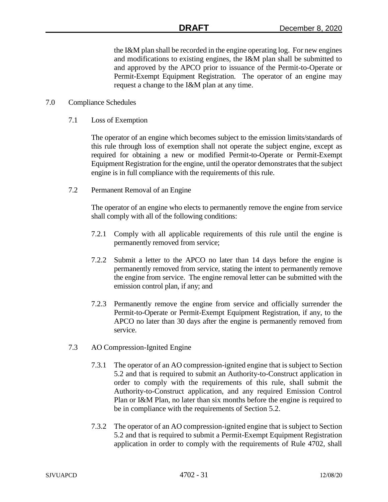the I&M plan shall be recorded in the engine operating log. For new engines and modifications to existing engines, the I&M plan shall be submitted to and approved by the APCO prior to issuance of the Permit-to-Operate or Permit-Exempt Equipment Registration. The operator of an engine may request a change to the I&M plan at any time.

#### 7.0 Compliance Schedules

7.1 Loss of Exemption

The operator of an engine which becomes subject to the emission limits/standards of this rule through loss of exemption shall not operate the subject engine, except as required for obtaining a new or modified Permit-to-Operate or Permit-Exempt Equipment Registration for the engine, until the operator demonstrates that the subject engine is in full compliance with the requirements of this rule.

7.2 Permanent Removal of an Engine

The operator of an engine who elects to permanently remove the engine from service shall comply with all of the following conditions:

- 7.2.1 Comply with all applicable requirements of this rule until the engine is permanently removed from service;
- 7.2.2 Submit a letter to the APCO no later than 14 days before the engine is permanently removed from service, stating the intent to permanently remove the engine from service. The engine removal letter can be submitted with the emission control plan, if any; and
- 7.2.3 Permanently remove the engine from service and officially surrender the Permit-to-Operate or Permit-Exempt Equipment Registration, if any, to the APCO no later than 30 days after the engine is permanently removed from service.
- 7.3 AO Compression-Ignited Engine
	- 7.3.1 The operator of an AO compression-ignited engine that is subject to Section 5.2 and that is required to submit an Authority-to-Construct application in order to comply with the requirements of this rule, shall submit the Authority-to-Construct application, and any required Emission Control Plan or I&M Plan, no later than six months before the engine is required to be in compliance with the requirements of Section 5.2.
	- 7.3.2 The operator of an AO compression-ignited engine that is subject to Section 5.2 and that is required to submit a Permit-Exempt Equipment Registration application in order to comply with the requirements of Rule 4702, shall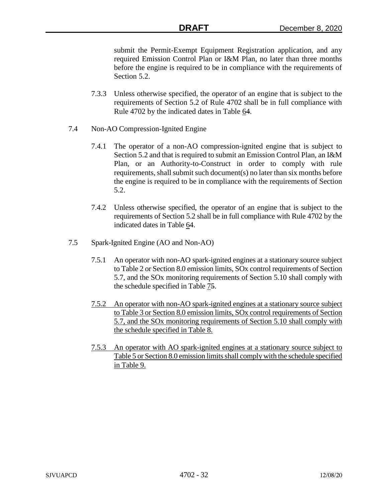submit the Permit-Exempt Equipment Registration application, and any required Emission Control Plan or I&M Plan, no later than three months before the engine is required to be in compliance with the requirements of Section 5.2.

- 7.3.3 Unless otherwise specified, the operator of an engine that is subject to the requirements of Section 5.2 of Rule 4702 shall be in full compliance with Rule 4702 by the indicated dates in Table 64.
- 7.4 Non-AO Compression-Ignited Engine
	- 7.4.1 The operator of a non-AO compression-ignited engine that is subject to Section 5.2 and that is required to submit an Emission Control Plan, an I&M Plan, or an Authority-to-Construct in order to comply with rule requirements, shall submit such document(s) no later than six months before the engine is required to be in compliance with the requirements of Section 5.2.
	- 7.4.2 Unless otherwise specified, the operator of an engine that is subject to the requirements of Section 5.2 shall be in full compliance with Rule 4702 by the indicated dates in Table 64.
- 7.5 Spark-Ignited Engine (AO and Non-AO)
	- 7.5.1 An operator with non-AO spark-ignited engines at a stationary source subject to Table 2 or Section 8.0 emission limits, SOx control requirements of Section 5.7, and the SOx monitoring requirements of Section 5.10 shall comply with the schedule specified in Table 75.
	- 7.5.2 An operator with non-AO spark-ignited engines at a stationary source subject to Table 3 or Section 8.0 emission limits, SOx control requirements of Section 5.7, and the SOx monitoring requirements of Section 5.10 shall comply with the schedule specified in Table 8.
	- 7.5.3 An operator with AO spark-ignited engines at a stationary source subject to Table 5 or Section 8.0 emission limits shall comply with the schedule specified in Table 9.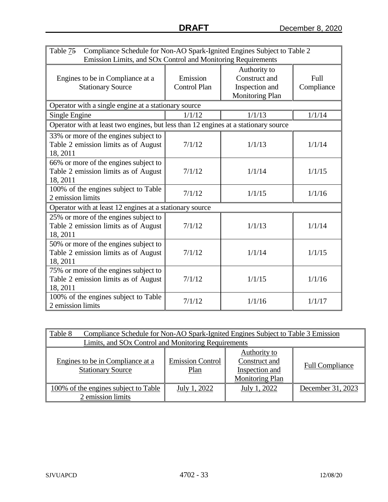| Table 75<br>Compliance Schedule for Non-AO Spark-Ignited Engines Subject to Table 2<br>Emission Limits, and SOx Control and Monitoring Requirements |                                 |                                                                           |                    |  |  |
|-----------------------------------------------------------------------------------------------------------------------------------------------------|---------------------------------|---------------------------------------------------------------------------|--------------------|--|--|
| Engines to be in Compliance at a<br><b>Stationary Source</b>                                                                                        | Emission<br><b>Control Plan</b> | Authority to<br>Construct and<br>Inspection and<br><b>Monitoring Plan</b> | Full<br>Compliance |  |  |
| Operator with a single engine at a stationary source                                                                                                |                                 |                                                                           |                    |  |  |
| Single Engine                                                                                                                                       | 1/1/12                          | 1/1/13                                                                    | 1/1/14             |  |  |
| Operator with at least two engines, but less than 12 engines at a stationary source                                                                 |                                 |                                                                           |                    |  |  |
| 33% or more of the engines subject to<br>Table 2 emission limits as of August<br>18, 2011                                                           | 7/1/12                          | 1/1/13                                                                    | 1/1/14             |  |  |
| 66% or more of the engines subject to<br>Table 2 emission limits as of August<br>18, 2011                                                           | 7/1/12                          | 1/1/14                                                                    | 1/1/15             |  |  |
| 100% of the engines subject to Table<br>2 emission limits                                                                                           | 7/1/12                          | 1/1/15                                                                    | 1/1/16             |  |  |
| Operator with at least 12 engines at a stationary source                                                                                            |                                 |                                                                           |                    |  |  |
| 25% or more of the engines subject to<br>Table 2 emission limits as of August<br>18, 2011                                                           | 7/1/12                          | 1/1/13                                                                    | 1/1/14             |  |  |
| 50% or more of the engines subject to<br>Table 2 emission limits as of August<br>18, 2011                                                           | 7/1/12                          | 1/1/14                                                                    | 1/1/15             |  |  |
| 75% or more of the engines subject to<br>Table 2 emission limits as of August<br>18, 2011                                                           | 7/1/12                          | 1/1/15                                                                    | 1/1/16             |  |  |
| 100% of the engines subject to Table<br>2 emission limits                                                                                           | 7/1/12                          | 1/1/16                                                                    | 1/1/17             |  |  |

| Table 8<br>Compliance Schedule for Non-AO Spark-Ignited Engines Subject to Table 3 Emission |                                                     |                                                                           |                        |  |  |
|---------------------------------------------------------------------------------------------|-----------------------------------------------------|---------------------------------------------------------------------------|------------------------|--|--|
|                                                                                             | Limits, and SOx Control and Monitoring Requirements |                                                                           |                        |  |  |
| Engines to be in Compliance at a<br><b>Stationary Source</b>                                | <b>Emission Control</b><br>Plan                     | Authority to<br>Construct and<br>Inspection and<br><b>Monitoring Plan</b> | <b>Full Compliance</b> |  |  |
| 100% of the engines subject to Table<br>2 emission limits                                   | July 1, 2022                                        | July 1, 2022                                                              | December 31, 2023      |  |  |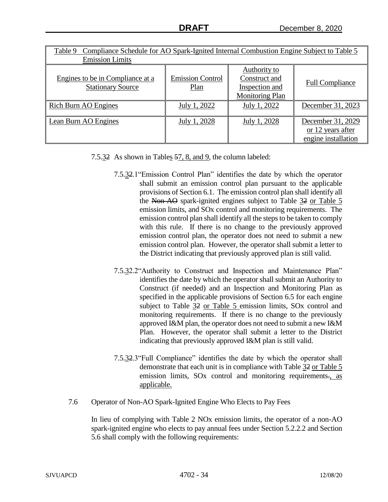| Compliance Schedule for AO Spark-Ignited Internal Combustion Engine Subject to Table 5<br>Table 9 |                                 |                                                                           |                                                               |  |
|---------------------------------------------------------------------------------------------------|---------------------------------|---------------------------------------------------------------------------|---------------------------------------------------------------|--|
| <b>Emission Limits</b>                                                                            |                                 |                                                                           |                                                               |  |
| Engines to be in Compliance at a<br><b>Stationary Source</b>                                      | <b>Emission Control</b><br>Plan | Authority to<br>Construct and<br>Inspection and<br><b>Monitoring Plan</b> | <b>Full Compliance</b>                                        |  |
| Rich Burn AO Engines                                                                              | July 1, 2022                    | July 1, 2022                                                              | December 31, 2023                                             |  |
| Lean Burn AO Engines                                                                              | July 1, 2028                    | July 1, 2028                                                              | December 31, 2029<br>or 12 years after<br>engine installation |  |

- 7.5.32 As shown in Tables 57, 8, and 9, the column labeled:
	- 7.5.32.1"Emission Control Plan" identifies the date by which the operator shall submit an emission control plan pursuant to the applicable provisions of Section 6.1. The emission control plan shall identify all the Non-AO spark-ignited engines subject to Table 32 or Table 5 emission limits, and SOx control and monitoring requirements. The emission control plan shall identify all the steps to be taken to comply with this rule. If there is no change to the previously approved emission control plan, the operator does not need to submit a new emission control plan. However, the operator shall submit a letter to the District indicating that previously approved plan is still valid.
	- 7.5.32.2"Authority to Construct and Inspection and Maintenance Plan" identifies the date by which the operator shall submit an Authority to Construct (if needed) and an Inspection and Monitoring Plan as specified in the applicable provisions of Section 6.5 for each engine subject to Table 32 or Table 5 emission limits, SOx control and monitoring requirements. If there is no change to the previously approved I&M plan, the operator does not need to submit a new I&M Plan. However, the operator shall submit a letter to the District indicating that previously approved I&M plan is still valid.
	- 7.5.32.3"Full Compliance" identifies the date by which the operator shall demonstrate that each unit is in compliance with Table 32 or Table 5 emission limits, SO<sub>x</sub> control and monitoring requirements., as applicable.
- 7.6 Operator of Non-AO Spark-Ignited Engine Who Elects to Pay Fees

In lieu of complying with Table 2 NOx emission limits, the operator of a non-AO spark-ignited engine who elects to pay annual fees under Section 5.2.2.2 and Section 5.6 shall comply with the following requirements: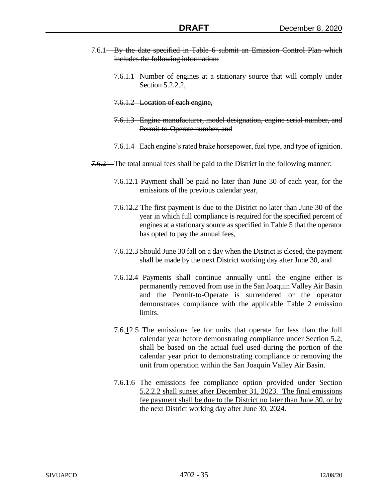- 7.6.1 By the date specified in Table 6 submit an Emission Control Plan which includes the following information:
	- 7.6.1.1 Number of engines at a stationary source that will comply under Section 5.2.2.2,
	- 7.6.1.2 Location of each engine,
	- 7.6.1.3 Engine manufacturer, model designation, engine serial number, and Permit-to-Operate number, and
	- 7.6.1.4 Each engine's rated brake horsepower, fuel type, and type of ignition.
- 7.6.2 The total annual fees shall be paid to the District in the following manner:
	- 7.6.12.1 Payment shall be paid no later than June 30 of each year, for the emissions of the previous calendar year,
	- 7.6.12.2 The first payment is due to the District no later than June 30 of the year in which full compliance is required for the specified percent of engines at a stationary source as specified in Table 5 that the operator has opted to pay the annual fees,
	- 7.6.12.3 Should June 30 fall on a day when the District is closed, the payment shall be made by the next District working day after June 30, and
	- 7.6.12.4 Payments shall continue annually until the engine either is permanently removed from use in the San Joaquin Valley Air Basin and the Permit-to-Operate is surrendered or the operator demonstrates compliance with the applicable Table 2 emission limits.
	- 7.6.12.5 The emissions fee for units that operate for less than the full calendar year before demonstrating compliance under Section 5.2, shall be based on the actual fuel used during the portion of the calendar year prior to demonstrating compliance or removing the unit from operation within the San Joaquin Valley Air Basin.
	- 7.6.1.6 The emissions fee compliance option provided under Section 5.2.2.2 shall sunset after December 31, 2023. The final emissions fee payment shall be due to the District no later than June 30, or by the next District working day after June 30, 2024.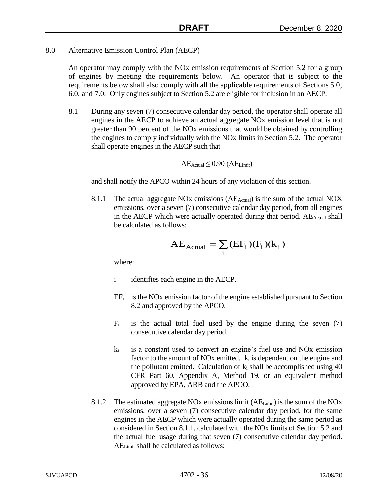8.0 Alternative Emission Control Plan (AECP)

An operator may comply with the NOx emission requirements of Section 5.2 for a group of engines by meeting the requirements below. An operator that is subject to the requirements below shall also comply with all the applicable requirements of Sections 5.0, 6.0, and 7.0. Only engines subject to Section 5.2 are eligible for inclusion in an AECP.

8.1 During any seven (7) consecutive calendar day period, the operator shall operate all engines in the AECP to achieve an actual aggregate NOx emission level that is not greater than 90 percent of the NOx emissions that would be obtained by controlling the engines to comply individually with the NOx limits in Section 5.2. The operator shall operate engines in the AECP such that

$$
AE_{Actual} \leq 0.90 (AE_{Limit})
$$

and shall notify the APCO within 24 hours of any violation of this section.

8.1.1 The actual aggregate NO<sub>x</sub> emissions ( $AE_{Actual}$ ) is the sum of the actual NOX emissions, over a seven (7) consecutive calendar day period, from all engines in the AECP which were actually operated during that period. AE<sub>Actual</sub> shall be calculated as follows:

$$
AE_{Actual} = \sum_{i} (EF_{i}) (F_{i}) (k_{i})
$$

where:

- i identifies each engine in the AECP.
- $EF_i$  is the NOx emission factor of the engine established pursuant to Section 8.2 and approved by the APCO.
- $F_i$  is the actual total fuel used by the engine during the seven (7) consecutive calendar day period.
- $k_i$  is a constant used to convert an engine's fuel use and NOx emission factor to the amount of NOx emitted.  $k_i$  is dependent on the engine and the pollutant emitted. Calculation of  $k_i$  shall be accomplished using 40 CFR Part 60, Appendix A, Method 19, or an equivalent method approved by EPA, ARB and the APCO.
- 8.1.2 The estimated aggregate NOx emissions limit  $(AE_{Limit})$  is the sum of the NOx emissions, over a seven (7) consecutive calendar day period, for the same engines in the AECP which were actually operated during the same period as considered in Section 8.1.1, calculated with the NOx limits of Section 5.2 and the actual fuel usage during that seven (7) consecutive calendar day period. AELimit shall be calculated as follows: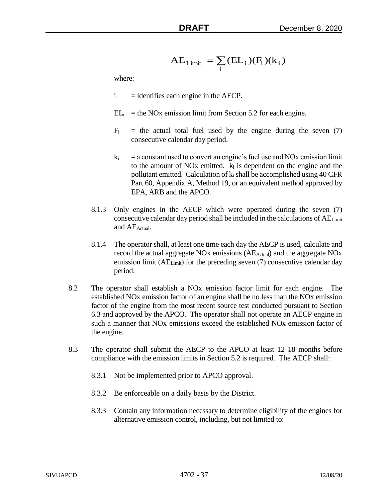$$
AE_{Limit} = \sum_i (EL_i)(F_i)(k_i)
$$

where:

- $i =$  identifies each engine in the AECP.
- $EL_i$  = the NOx emission limit from Section 5.2 for each engine.
- $F_i$  = the actual total fuel used by the engine during the seven (7) consecutive calendar day period.
- $k_i$  = a constant used to convert an engine's fuel use and NOx emission limit to the amount of NOx emitted. k<sup>i</sup> is dependent on the engine and the pollutant emitted. Calculation of  $k_i$  shall be accomplished using 40 CFR Part 60, Appendix A, Method 19, or an equivalent method approved by EPA, ARB and the APCO.
- 8.1.3 Only engines in the AECP which were operated during the seven (7) consecutive calendar day period shall be included in the calculations of AELimit and AE<sub>Actual</sub>.
- 8.1.4 The operator shall, at least one time each day the AECP is used, calculate and record the actual aggregate NO<sub>x</sub> emissions (AE<sub>Actual</sub>) and the aggregate NO<sub>x</sub> emission limit (AE<sub>Limit</sub>) for the preceding seven (7) consecutive calendar day period.
- A E<sub>T isrem</sub>  $\sum_{i=1}^{n} (E1_{-i}) (E1_{+i}) (E1_{+i})$ <br>
where:<br>
i dentifies each engine in the AECP.<br>
IL = the NOx emission limit from Bection 5.2 for each engine.<br>
IE = the actual usual furt levent bection 5.2 for each engine th 8.2 The operator shall establish a NOx emission factor limit for each engine. The established NOx emission factor of an engine shall be no less than the NOx emission factor of the engine from the most recent source test conducted pursuant to Section 6.3 and approved by the APCO. The operator shall not operate an AECP engine in such a manner that NOx emissions exceed the established NOx emission factor of the engine.
	- 8.3 The operator shall submit the AECP to the APCO at least 12 48 months before compliance with the emission limits in Section 5.2 is required. The AECP shall:
		- 8.3.1 Not be implemented prior to APCO approval.
		- 8.3.2 Be enforceable on a daily basis by the District.
		- 8.3.3 Contain any information necessary to determine eligibility of the engines for alternative emission control, including, but not limited to: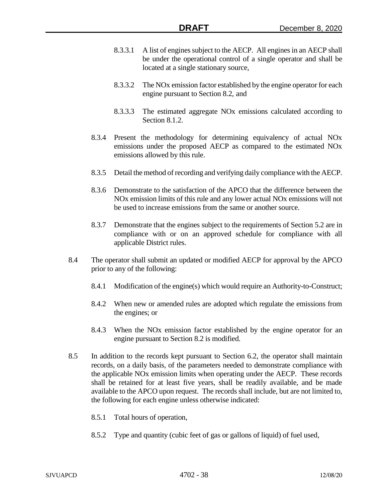- 8.3.3.1 A list of engines subject to the AECP. All engines in an AECP shall be under the operational control of a single operator and shall be located at a single stationary source,
- 8.3.3.2 The NOx emission factor established by the engine operator for each engine pursuant to Section 8.2, and
- 8.3.3.3 The estimated aggregate NOx emissions calculated according to Section 8.1.2.
- 8.3.4 Present the methodology for determining equivalency of actual NOx emissions under the proposed AECP as compared to the estimated NOx emissions allowed by this rule.
- 8.3.5 Detail the method of recording and verifying daily compliance with the AECP.
- 8.3.6 Demonstrate to the satisfaction of the APCO that the difference between the NOx emission limits of this rule and any lower actual NOx emissions will not be used to increase emissions from the same or another source.
- 8.3.7 Demonstrate that the engines subject to the requirements of Section 5.2 are in compliance with or on an approved schedule for compliance with all applicable District rules.
- 8.4 The operator shall submit an updated or modified AECP for approval by the APCO prior to any of the following:
	- 8.4.1 Modification of the engine(s) which would require an Authority-to-Construct;
	- 8.4.2 When new or amended rules are adopted which regulate the emissions from the engines; or
	- 8.4.3 When the NOx emission factor established by the engine operator for an engine pursuant to Section 8.2 is modified.
- 8.5 In addition to the records kept pursuant to Section 6.2, the operator shall maintain records, on a daily basis, of the parameters needed to demonstrate compliance with the applicable NOx emission limits when operating under the AECP. These records shall be retained for at least five years, shall be readily available, and be made available to the APCO upon request. The records shall include, but are not limited to, the following for each engine unless otherwise indicated:
	- 8.5.1 Total hours of operation,
	- 8.5.2 Type and quantity (cubic feet of gas or gallons of liquid) of fuel used,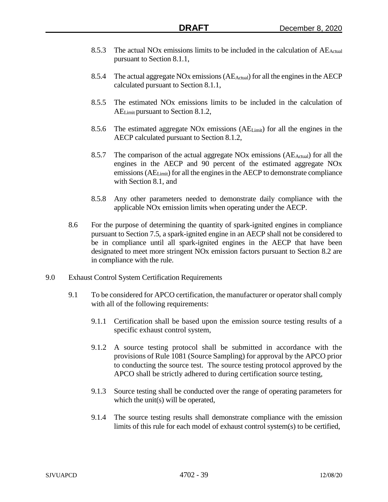- 8.5.3 The actual NOx emissions limits to be included in the calculation of  $AE_{Actual}$ pursuant to Section 8.1.1,
- 8.5.4 The actual aggregate NOx emissions (AEActual) for all the engines in the AECP calculated pursuant to Section 8.1.1,
- 8.5.5 The estimated NOx emissions limits to be included in the calculation of AELimit pursuant to Section 8.1.2,
- 8.5.6 The estimated aggregate NOx emissions  $(AE_{Limit})$  for all the engines in the AECP calculated pursuant to Section 8.1.2,
- 8.5.7 The comparison of the actual aggregate NO<sub>x</sub> emissions ( $AE_{Actual}$ ) for all the engines in the AECP and 90 percent of the estimated aggregate NOx emissions (AELimit) for all the engines in the AECP to demonstrate compliance with Section 8.1, and
- 8.5.8 Any other parameters needed to demonstrate daily compliance with the applicable NOx emission limits when operating under the AECP.
- 8.6 For the purpose of determining the quantity of spark-ignited engines in compliance pursuant to Section 7.5, a spark-ignited engine in an AECP shall not be considered to be in compliance until all spark-ignited engines in the AECP that have been designated to meet more stringent NOx emission factors pursuant to Section 8.2 are in compliance with the rule.
- 9.0 Exhaust Control System Certification Requirements
	- 9.1 To be considered for APCO certification, the manufacturer or operator shall comply with all of the following requirements:
		- 9.1.1 Certification shall be based upon the emission source testing results of a specific exhaust control system,
		- 9.1.2 A source testing protocol shall be submitted in accordance with the provisions of Rule 1081 (Source Sampling) for approval by the APCO prior to conducting the source test. The source testing protocol approved by the APCO shall be strictly adhered to during certification source testing,
		- 9.1.3 Source testing shall be conducted over the range of operating parameters for which the unit(s) will be operated,
		- 9.1.4 The source testing results shall demonstrate compliance with the emission limits of this rule for each model of exhaust control system(s) to be certified,